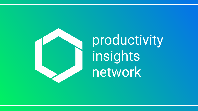

productivity insights network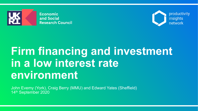



# **Firm financing and investment in a low interest rate environment**

John Evemy (York), Craig Berry (MMU) and Edward Yates (Sheffield) 14th September 2020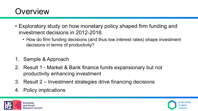## **Overview**

- Exploratory study on how monetary policy shaped firm funding and investment decisions in 2012-2016.
	- How do firm funding decisions (and thus low interest rates) shape investment decisions in terms of productivity?
- 1. Sample & Approach
- 2. Result 1 Market & Bank finance funds expansionary but not productivity enhancing investment
- 3. Result 2 Investment strategies drive financing decisions
- 4. Policy implications



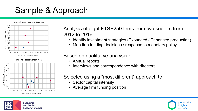# Sample & Approach

Funding Ratios: Food and Beverage





### Analysis of eight FTSE250 firms from two sectors from 2012 to 2016

- Identify investment strategies (Expanded / Enhanced production)
- Map firm funding decisions / response to monetary policy

### Based on qualitative analysis of

- Annual reports
- Interviews and correspondence with directors

### Selected using a "most different" approach to

- Sector capital intensity
- Average firm funding position



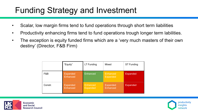# Funding Strategy and Investment

- Scalar, low margin firms tend to fund operations through short term liabilities
- Productivity enhancing firms tend to fund operations trough longer term labilities.
- The exception is equity funded firms which are a 'very much masters of their own destiny' (Director, F&B Firm)

|         | "Equity"                           | LT Funding                  | Mixed                              | <b>ST Funding</b> |
|---------|------------------------------------|-----------------------------|------------------------------------|-------------------|
| F&B     | <b>Expanded</b><br><b>Enhanced</b> | Enhanced                    | <b>Enhanced</b><br><b>Expanded</b> | <b>Expanded</b>   |
| Constr. | <b>Expanded</b><br><b>Enhanced</b> | Enhanced<br><b>Expanded</b> | <b>Expanded</b><br><b>Enhanced</b> | <b>Expanded</b>   |



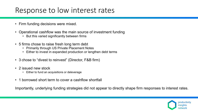### Response to low interest rates

- Firm funding decisions were mixed.
- Operational cashflow was the main source of investment funding
	- But this varied significantly between firms
- 5 firms chose to raise fresh long term debt
	- Primarily through US Private Placement Notes
	- Either to invest in expanded production or lengthen debt terms
- 3 chose to "divest to reinvest" (Director, F&B firm)
- 2 issued new stock
	- Either to fund an acquisitions or deleverage
- 1 borrowed short term to cover a cashflow shortfall

Importantly, underlying funding strategies did not appear to directly shape firm responses to interest rates.

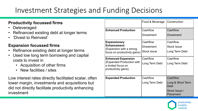### Investment Strategies and Funding Decisions

#### **Productivity focussed firms**

- Deleveraged
- Refinanced existing debt at longer terms
- 'Divest to Reinvest'

#### **Expansion focussed firms**

- Refinance existing debt at longer terms
- Used low long term borrowing and capital costs to invest in
	- Acquisition of other firms
	- New facilities / sites

Low interest rates directly facilitated scalar, often lower margin, investments and acquisitions but did not directly facilitate productivity enhancing investment

|                                                                        | Food & Beverage    | Construction               |  |
|------------------------------------------------------------------------|--------------------|----------------------------|--|
| <b>Enhanced Production</b>                                             | Cashflow           | Cashflow                   |  |
|                                                                        | <b>Divestment</b>  | <b>Divestment</b>          |  |
| <b>Expansionary</b>                                                    | Cashflow           | Cashflow                   |  |
| <b>Enhancement</b><br>(Expansion with a strong                         | <b>Divestment</b>  | <b>Stock Issue</b>         |  |
| focus on productivity gains)                                           | <b>Stock Issue</b> | Long Term Debt             |  |
| <b>Enhanced Expansion</b>                                              | Cashflow           | Cashflow                   |  |
| (Expanded Production with<br>a limited focus on<br>productivity gains) | Long Term Debt     | Long Term Debt             |  |
| <b>Expanded Production</b>                                             | Cashflow           | Cashflow                   |  |
|                                                                        | Long Term Debt     | Long & Short Term<br>Debt  |  |
|                                                                        |                    | Stock Issue /<br>Placement |  |

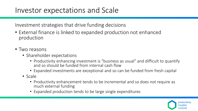### Investor expectations and Scale

Investment strategies that drive funding decisions

- External finance is linked to expanded production not enhanced production
- Two reasons
	- Shareholder expectations
		- Productivity enhancing investment is "business as usual" and difficult to quantify and so should be funded from internal cash flow
		- Expanded investments are exceptional and so can be funded from fresh capital
	- Scale
		- Productivity enhancement tends to be incremental and so does not require as much external funding
		- Expanded production tends to be large single expenditures

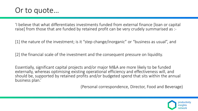

'I believe that what differentiates investments funded from external finance [loan or capital raise] from those that are funded by retained profit can be very crudely summarised as :-

[1] the nature of the investment; is it "step change/inorganic" or "business as usual", and

[2] the financial scale of the investment and the consequent pressure on liquidity.

Essentially, significant capital projects and/or major M&A are more likely to be funded externally, whereas optimising existing operational efficiency and effectiveness will, and should be, supported by retained profits and/or budgeted spend that sits within the annual business plan.'

(Personal correspondence, Director, Food and Beverage)

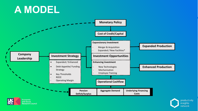# **A MODEL**





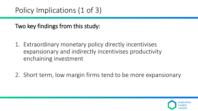Two key findings from this study:

- 1. Extraordinary monetary policy directly incentivises expansionary and indirectly incentivises productivity enchaining investment
- 2. Short term, low margin firms tend to be more expansionary

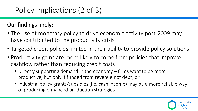## Policy Implications (2 of 3)

### Our findings imply:

- The use of monetary policy to drive economic activity post-2009 may have contributed to the productivity crisis
- Targeted credit policies limited in their ability to provide policy solutions
- Productivity gains are more likely to come from policies that improve cashflow rather than reducing credit costs
	- Directly supporting demand in the economy firms want to be more productive, but only if funded from revenue not debt; or
	- Industrial policy grants/subsidies (i.e. cash income) may be a more reliable way of producing enhanced production strategies